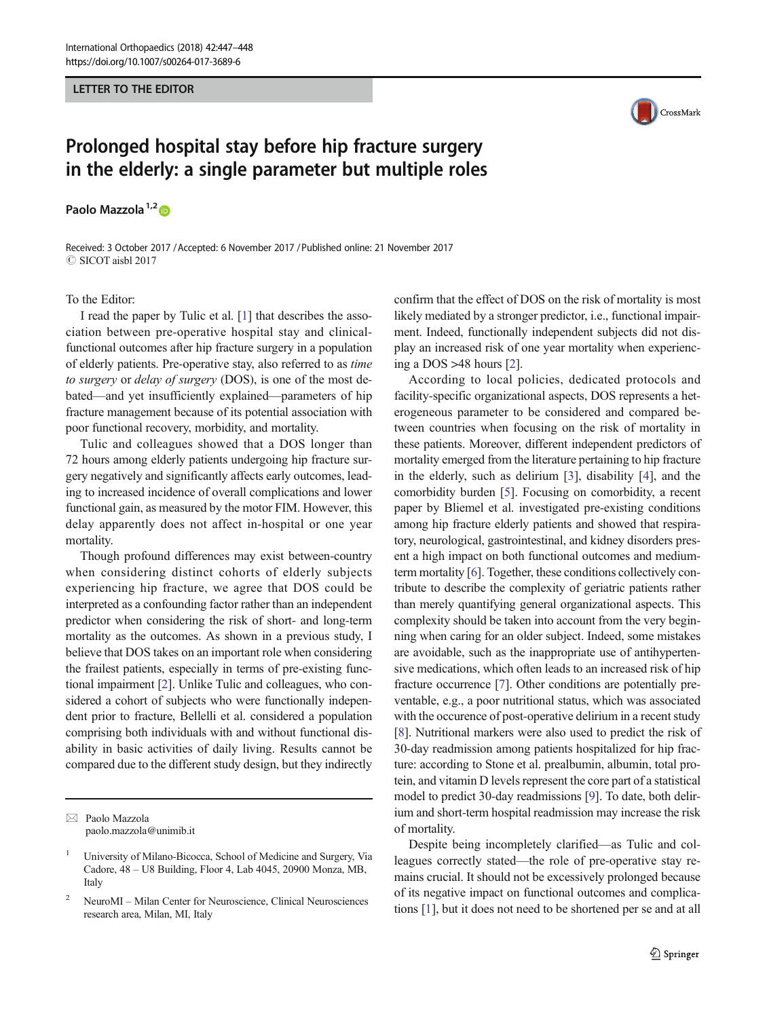### LETTER TO THE EDITOR

# Prolonged hospital stay before hip fracture surgery in the elderly: a single parameter but multiple roles

Paolo Mazzola<sup>1,2</sup>

Received: 3 October 2017 /Accepted: 6 November 2017 /Published online: 21 November 2017  $\oslash$  SICOT aisbl 2017

### To the Editor:

I read the paper by Tulic et al. [[1\]](#page-1-0) that describes the association between pre-operative hospital stay and clinicalfunctional outcomes after hip fracture surgery in a population of elderly patients. Pre-operative stay, also referred to as time to surgery or delay of surgery (DOS), is one of the most debated—and yet insufficiently explained—parameters of hip fracture management because of its potential association with poor functional recovery, morbidity, and mortality.

Tulic and colleagues showed that a DOS longer than 72 hours among elderly patients undergoing hip fracture surgery negatively and significantly affects early outcomes, leading to increased incidence of overall complications and lower functional gain, as measured by the motor FIM. However, this delay apparently does not affect in-hospital or one year mortality.

Though profound differences may exist between-country when considering distinct cohorts of elderly subjects experiencing hip fracture, we agree that DOS could be interpreted as a confounding factor rather than an independent predictor when considering the risk of short- and long-term mortality as the outcomes. As shown in a previous study, I believe that DOS takes on an important role when considering the frailest patients, especially in terms of pre-existing functional impairment [[2\]](#page-1-0). Unlike Tulic and colleagues, who considered a cohort of subjects who were functionally independent prior to fracture, Bellelli et al. considered a population comprising both individuals with and without functional disability in basic activities of daily living. Results cannot be compared due to the different study design, but they indirectly

 $\boxtimes$  Paolo Mazzola [paolo.mazzola@unimib.it](mailto:paolo.mazzola@unimib.it)



confirm that the effect of DOS on the risk of mortality is most likely mediated by a stronger predictor, i.e., functional impairment. Indeed, functionally independent subjects did not display an increased risk of one year mortality when experiencing a DOS >48 hours [[2\]](#page-1-0).

According to local policies, dedicated protocols and facility-specific organizational aspects, DOS represents a heterogeneous parameter to be considered and compared between countries when focusing on the risk of mortality in these patients. Moreover, different independent predictors of mortality emerged from the literature pertaining to hip fracture in the elderly, such as delirium [\[3](#page-1-0)], disability [\[4](#page-1-0)], and the comorbidity burden [[5\]](#page-1-0). Focusing on comorbidity, a recent paper by Bliemel et al. investigated pre-existing conditions among hip fracture elderly patients and showed that respiratory, neurological, gastrointestinal, and kidney disorders present a high impact on both functional outcomes and mediumterm mortality [[6\]](#page-1-0). Together, these conditions collectively contribute to describe the complexity of geriatric patients rather than merely quantifying general organizational aspects. This complexity should be taken into account from the very beginning when caring for an older subject. Indeed, some mistakes are avoidable, such as the inappropriate use of antihypertensive medications, which often leads to an increased risk of hip fracture occurrence [\[7](#page-1-0)]. Other conditions are potentially preventable, e.g., a poor nutritional status, which was associated with the occurence of post-operative delirium in a recent study [\[8](#page-1-0)]. Nutritional markers were also used to predict the risk of 30-day readmission among patients hospitalized for hip fracture: according to Stone et al. prealbumin, albumin, total protein, and vitamin D levels represent the core part of a statistical model to predict 30-day readmissions [\[9](#page-1-0)]. To date, both delirium and short-term hospital readmission may increase the risk of mortality.

Despite being incompletely clarified—as Tulic and colleagues correctly stated—the role of pre-operative stay remains crucial. It should not be excessively prolonged because of its negative impact on functional outcomes and complications [\[1](#page-1-0)], but it does not need to be shortened per se and at all

<sup>1</sup> University of Milano-Bicocca, School of Medicine and Surgery, Via Cadore, 48 – U8 Building, Floor 4, Lab 4045, 20900 Monza, MB, Italy

<sup>2</sup> NeuroMI – Milan Center for Neuroscience, Clinical Neurosciences research area, Milan, MI, Italy